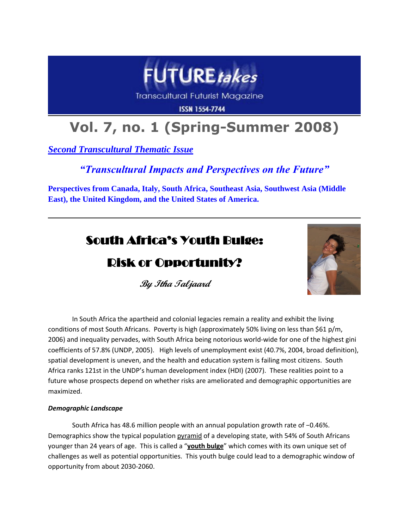

**Transcultural Futurist Magazine** 

**ISSN 1554-7744** 

# **Vol. 7, no. 1 (Spring-Summer 2008)**

*Second Transcultural Thematic Issue*

### *"Transcultural Impacts and Perspectives on the Future"*

**Perspectives from Canada, Italy, South Africa, Southeast Asia, Southwest Asia (Middle East), the United Kingdom, and the United States of America.**

## South Africa's Youth Bulge:

## Risk or Opportunity?



**By Itha Taljaard**

In South Africa the apartheid and colonial legacies remain a reality and exhibit the living conditions of most South Africans. Poverty is high (approximately 50% living on less than \$61 p/m, 2006) and inequality pervades, with South Africa being notorious world-wide for one of the highest gini coefficients of 57.8% (UNDP, 2005). High levels of unemployment exist (40.7%, 2004, broad definition), spatial development is uneven, and the health and education system is failing most citizens. South Africa ranks 121st in the UNDP's human development index (HDI) (2007). These realities point to a future whose prospects depend on whether risks are ameliorated and demographic opportunities are maximized.

#### *Demographic Landscape*

South Africa has 48.6 million people with an annual population growth rate of −0.46%. Demographics show the typical population pyramid of a developing state, with 54% of South Africans younger than 24 years of age. This is called a "**youth bulge**" which comes with its own unique set of challenges as well as potential opportunities. This youth bulge could lead to a demographic window of opportunity from about 2030-2060.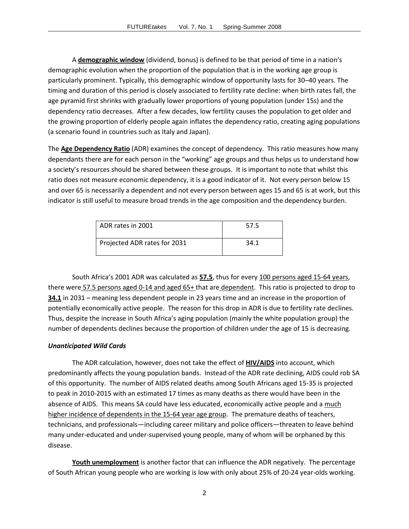A **demographic window** (dividend, bonus) is defined to be that period of time in a nation's demographic evolution when the proportion of the population that is in the working age group is particularly prominent. Typically, this demographic window of opportunity lasts for 30–40 years. The timing and duration of this period is closely associated to fertility rate decline: when birth rates fall, the age pyramid first shrinks with gradually lower proportions of young population (under 15s) and the dependency ratio decreases. After a few decades, low fertility causes the population to get older and the growing proportion of elderly people again inflates the dependency ratio, creating aging populations (a scenario found in countries such as Italy and Japan).

The **Age Dependency Ratio** (ADR) examines the concept of dependency. This ratio measures how many dependants there are for each person in the "working" age groups and thus helps us to understand how a society's resources should be shared between these groups. It is important to note that whilst this ratio does not measure economic dependency, it is a good indicator of it. Not every person below 15 and over 65 is necessarily a dependent and not every person between ages 15 and 65 is at work, but this indicator is still useful to measure broad trends in the age composition and the dependency burden.

| ADR rates in 2001            | 57.5 |
|------------------------------|------|
| Projected ADR rates for 2031 | 34.1 |

South Africa's 2001 ADR was calculated as **57.5**, thus for every 100 persons aged 15-64 years, there were 57.5 persons aged 0-14 and aged 65+ that are dependent. This ratio is projected to drop to **34.1** in 2031 – meaning less dependent people in 23 years time and an increase in the proportion of potentially economically active people. The reason for this drop in ADR is due to fertility rate declines. Thus, despite the increase in South Africa's aging population (mainly the white population group) the number of dependents declines because the proportion of children under the age of 15 is decreasing.

#### *Unanticipated Wild Cards*

The ADR calculation, however, does not take the effect of **HIV/AIDS** into account, which predominantly affects the young population bands. Instead of the ADR rate declining, AIDS could rob SA of this opportunity. The number of AIDS related deaths among South Africans aged 15-35 is projected to peak in 2010-2015 with an estimated 17 times as many deaths as there would have been in the absence of AIDS. This means SA could have less educated, economically active people and a much higher incidence of dependents in the 15-64 year age group. The premature deaths of teachers, technicians, and professionals—including career military and police officers—threaten to leave behind many under-educated and under-supervised young people, many of whom will be orphaned by this disease.

**Youth unemployment** is another factor that can influence the ADR negatively. The percentage of South African young people who are working is low with only about 25% of 20-24 year-olds working.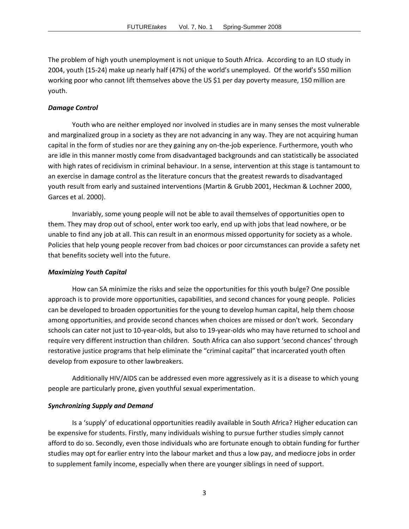The problem of high youth unemployment is not unique to South Africa. According to an ILO study in 2004, youth (15-24) make up nearly half (47%) of the world's unemployed. Of the world's 550 million working poor who cannot lift themselves above the US \$1 per day poverty measure, 150 million are youth.

#### *Damage Control*

Youth who are neither employed nor involved in studies are in many senses the most vulnerable and marginalized group in a society as they are not advancing in any way. They are not acquiring human capital in the form of studies nor are they gaining any on-the-job experience. Furthermore, youth who are idle in this manner mostly come from disadvantaged backgrounds and can statistically be associated with high rates of recidivism in criminal behaviour. In a sense, intervention at this stage is tantamount to an exercise in damage control as the literature concurs that the greatest rewards to disadvantaged youth result from early and sustained interventions (Martin & Grubb 2001, Heckman & Lochner 2000, Garces et al. 2000).

Invariably, some young people will not be able to avail themselves of opportunities open to them. They may drop out of school, enter work too early, end up with jobs that lead nowhere, or be unable to find any job at all. This can result in an enormous missed opportunity for society as a whole. Policies that help young people recover from bad choices or poor circumstances can provide a safety net that benefits society well into the future.

#### *Maximizing Youth Capital*

How can SA minimize the risks and seize the opportunities for this youth bulge? One possible approach is to provide more opportunities, capabilities, and second chances for young people. Policies can be developed to broaden opportunities for the young to develop human capital, help them choose among opportunities, and provide second chances when choices are missed or don't work. Secondary schools can cater not just to 10-year-olds, but also to 19-year-olds who may have returned to school and require very different instruction than children. South Africa can also support 'second chances' through restorative justice programs that help eliminate the "criminal capital" that incarcerated youth often develop from exposure to other lawbreakers.

Additionally HIV/AIDS can be addressed even more aggressively as it is a disease to which young people are particularly prone, given youthful sexual experimentation.

#### *Synchronizing Supply and Demand*

Is a 'supply' of educational opportunities readily available in South Africa? Higher education can be expensive for students. Firstly, many individuals wishing to pursue further studies simply cannot afford to do so. Secondly, even those individuals who are fortunate enough to obtain funding for further studies may opt for earlier entry into the labour market and thus a low pay, and mediocre jobs in order to supplement family income, especially when there are younger siblings in need of support.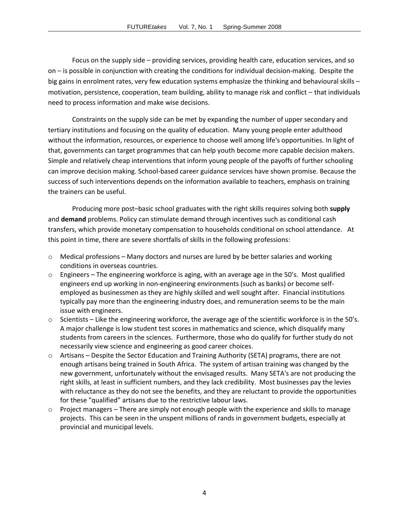Focus on the supply side – providing services, providing health care, education services, and so on – is possible in conjunction with creating the conditions for individual decision-making. Despite the big gains in enrolment rates, very few education systems emphasize the thinking and behavioural skills – motivation, persistence, cooperation, team building, ability to manage risk and conflict – that individuals need to process information and make wise decisions.

Constraints on the supply side can be met by expanding the number of upper secondary and tertiary institutions and focusing on the quality of education. Many young people enter adulthood without the information, resources, or experience to choose well among life's opportunities. In light of that, governments can target programmes that can help youth become more capable decision makers. Simple and relatively cheap interventions that inform young people of the payoffs of further schooling can improve decision making. School-based career guidance services have shown promise. Because the success of such interventions depends on the information available to teachers, emphasis on training the trainers can be useful.

Producing more post–basic school graduates with the right skills requires solving both **supply** and **demand** problems. Policy can stimulate demand through incentives such as conditional cash transfers, which provide monetary compensation to households conditional on school attendance. At this point in time, there are severe shortfalls of skills in the following professions:

- $\circ$  Medical professions Many doctors and nurses are lured by be better salaries and working conditions in overseas countries.
- o Engineers The engineering workforce is aging, with an average age in the 50's. Most qualified engineers end up working in non-engineering environments (such as banks) or become selfemployed as businessmen as they are highly skilled and well sought after. Financial institutions typically pay more than the engineering industry does, and remuneration seems to be the main issue with engineers.
- $\circ$  Scientists Like the engineering workforce, the average age of the scientific workforce is in the 50's. A major challenge is low student test scores in mathematics and science, which disqualify many students from careers in the sciences. Furthermore, those who do qualify for further study do not necessarily view science and engineering as good career choices.
- o Artisans Despite the Sector Education and Training Authority (SETA) programs, there are not enough artisans being trained in South Africa. The system of artisan training was changed by the new government, unfortunately without the envisaged results. Many SETA's are not producing the right skills, at least in sufficient numbers, and they lack credibility. Most businesses pay the levies with reluctance as they do not see the benefits, and they are reluctant to provide the opportunities for these "qualified" artisans due to the restrictive labour laws.
- $\circ$  Project managers There are simply not enough people with the experience and skills to manage projects. This can be seen in the unspent millions of rands in government budgets, especially at provincial and municipal levels.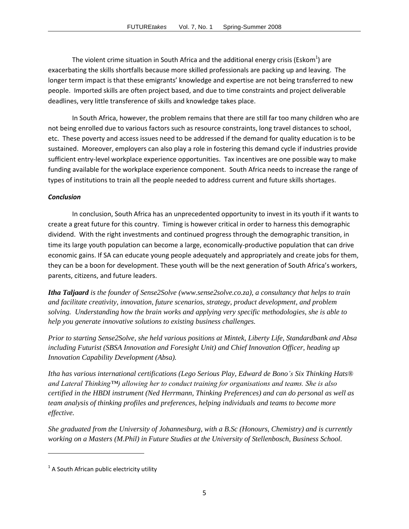The violent crime situation in South Africa and the additional energy crisis (Eskom<sup>1</sup>) are exacerbating the skills shortfalls because more skilled professionals are packing up and leaving. The longer term impact is that these emigrants' knowledge and expertise are not being transferred to new people. Imported skills are often project based, and due to time constraints and project deliverable deadlines, very little transference of skills and knowledge takes place.

In South Africa, however, the problem remains that there are still far too many children who are not being enrolled due to various factors such as resource constraints, long travel distances to school, etc. These poverty and access issues need to be addressed if the demand for quality education is to be sustained. Moreover, employers can also play a role in fostering this demand cycle if industries provide sufficient entry-level workplace experience opportunities. Tax incentives are one possible way to make funding available for the workplace experience component. South Africa needs to increase the range of types of institutions to train all the people needed to address current and future skills shortages.

#### *Conclusion*

In conclusion, South Africa has an unprecedented opportunity to invest in its youth if it wants to create a great future for this country. Timing is however critical in order to harness this demographic dividend. With the right investments and continued progress through the demographic transition, in time its large youth population can become a large, economically-productive population that can drive economic gains. If SA can educate young people adequately and appropriately and create jobs for them, they can be a boon for development. These youth will be the next generation of South Africa's workers, parents, citizens, and future leaders.

*Itha Taljaard is the founder of Sense2Solve (www.sense2solve.co.za), a consultancy that helps to train and facilitate creativity, innovation, future scenarios, strategy, product development, and problem solving. Understanding how the brain works and applying very specific methodologies, she is able to help you generate innovative solutions to existing business challenges.* 

*Prior to starting Sense2Solve, she held various positions at Mintek, Liberty Life, Standardbank and Absa including Futurist (SBSA Innovation and Foresight Unit) and Chief Innovation Officer, heading up Innovation Capability Development (Absa).*

*Itha has various international certifications (Lego Serious Play, Edward de Bono's Six Thinking Hats® and Lateral Thinking™) allowing her to conduct training for organisations and teams. She is also certified in the HBDI instrument (Ned Herrmann, Thinking Preferences) and can do personal as well as team analysis of thinking profiles and preferences, helping individuals and teams to become more effective.*

*She graduated from the University of Johannesburg, with a B.Sc (Honours, Chemistry) and is currently working on a Masters (M.Phil) in Future Studies at the University of Stellenbosch, Business School.* 

 $\overline{\phantom{a}}$ 

 $<sup>1</sup>$  A South African public electricity utility</sup>